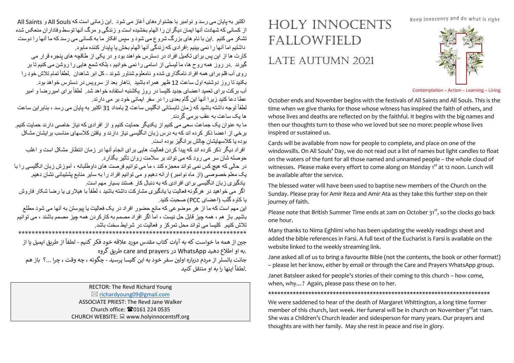Keep innocency and do what is right



Contemplation – Action – Learning – Living

October ends and November begins with the festivals of All Saints and All Souls. This is the time when we give thanks for those whose witness has inspired the faith of others, and whose lives and deaths are reflected on by the faithful. It begins with the big names and then our thoughts turn to those who we loved but see no more: people whose lives inspired or sustained us.

HOLY INNOCENTS

FALLOWFIELD

LATE AUTUMN 2021

Cards will be available from now for people to complete, and place on one of the windowsills. On All Souls' Day, we do not read out a list of names but light candles to float on the waters of the font for all those named and unnamed people – the whole cloud of witnesses. Please make every effort to come along on Monday 1<sup>st</sup> at 12 noon. Lunch will be available after the service.

The blessed water will have been used to baptise new members of the Church on the Sunday. Please pray for Amir Reza and Amir Ata as they take this further step on their journey of faith.

Please note that British Summer Time ends at 2am on October  $31<sup>st</sup>$ , so the clocks go back one hour.

Many thanks to Nima Eghlimi who has been updating the weekly readings sheet and added the bible references in Farsi. A full text of the Eucharist is Farsi is available on the website linked to the weekly streaming link.

Jane asked all of us to bring a favourite Bible (not the contents, the book or other format!) – please let her know, either by email or through the Care and Prayers WhatsApp group.

Janet Batsleer asked for people's stories of their coming to this church – how come, when, why…? Again, please pass these on to her.

## \*\*\*\*\*\*\*\*\*\*\*\*\*\*\*\*\*\*\*\*\*\*\*\*\*\*\*\*\*\*\*\*\*\*\*\*\*\*\*\*\*\*\*\*\*\*\*\*\*\*\*\*\*\*\*\*\*\*\*\*\*\*\*\*\*\*\*\*\*\*\*\*

We were saddened to hear of the death of Margaret Whittington, a long time former member of this church, last week. Her funeral will be in church on November 3<sup>rd</sup>at 11am. She was a Children's Church leader and sidesperson for many years. Our prayers and thoughts are with her family. May she rest in peace and rise in glory.

اکتبر به پایان می رسد و نوامبر با جشنوار مهای آغاز می شود .این زمانی است که All Saints و All Saints از کسانی که شهادت آنها ایمان دیگر ان را الهام بخشیده است و زندگی و مرگ آنها توسط وفادار ان منعکس شده تشکر می کنیم . این با نام های بزرگ شروع می شود و سپس افکار ما به کسانی می رسد که ما آنها را دوست داشتیم اما آنها ر ا نمی بینیم :افر ادی که ز ندگی آنها الهام بخش یا پایدار کننده مابو د. کار ت ها از این پس بر ای تکمیل افر اد در دستر س خو اهند بو د و در یکی از طاقچه های ینجر ه قر ار می گیرند .در روز همه روح ها، ما لیستی از اسامی را نمی خوانیم ، بلکه شمع هایی را روشن می کنیم تا بر ر وی آب قلم بر ای همه افر اد نامگذاری شده و نامعلوم شناور شوند - کل ابر شاهدان .لطفاً تمام تلاش خود را بکنید تا روز دوشنبه اول ساعت 12 ظهر همر اه باشید . ناهار بعد از سرویس در دستر س خواهد بود. آب برکت برای تعمید اعضای جدید کلیسا در روز یکشنبه استفاده خواهد شد. لطفأ برای امیررضا و امیر عطا دعا کنید ز بر ا آنها این گام یعدی ر ا در سفر ایمانی خود بر امی دار ند. لطفاً تو جه داشته باشید که ز مان تابستانی انگلیس ساعت 2 بامداد 31 اکتبر به بایان می ر سد ، بنابر این ساعت

ھا بک ساعت به عقب پر مے گر دندر

ما به عنو ان یک جماعت سعی می کنیم از یکدیگر حمایت کنیم و از افر ادی که نیاز خاصبی دار ند حمایت کنیم . بر خی از اعضا ذکر کرده اند که به درس زبان انگلیسی نیاز دارند و یافتن کلاسهای مناسب بر ایشان مشکل بو ده با کلاسهابشان جالش بر انگبز ً بو ده است.

افر اد دیگر ذکر کر دہ اند که بیدا کر دن فعالیت هایی بر ای انجام آنها در ز مان انتظار مشکل است و اغلب حو صله شان سر ً می رود که می نو اند بر عملامت رو ان تأثیر بگذار د.

در حالی که هیچ کس نمی تواند معجز ه کند ، ما می توانیم فرصت های داوطلبانه ، آموزش زبان انگلیسی را با یک معلم خصوصی (از ماه نوامبر ) ارائه دهیم و می توانیم افراد را به سایر منابع یشتیبانی نشان دهیم. بادگیر ی ز بان انگلبسی بر ای افر ادی که به دنبال کار هستند بسبار مهم است .

اگر می خواهید در هرگونه فعالیت یا یادگیری مشارکت داشته باشید ، لطفاً با هیلاری یا رضـا شکار فاروش بـا کـاو ه گلب (اعضـای PCC) صـحبت کنبد .

این مهم است که ما از هر موضوعی که مانع حضور افراد در یک فعالیت یا پیوستن به آنها می شود مطلع باشیم. باز ِ هم ، همه چیز قابل حل نیست ، اما اگر افر اد مصمم به کار کر دن همه چیز مصمم باشند ، می توانیم تلاش کنیم. کلیسا می تو اند محل تمر کز و فعالیت در شر ایط سخت باشد.

\*\*\*\*\*\*\*\*\*\*\*\*\*\*\*\*\*\*\*\*\*\*\*\*\*\*\*\*\*\*\*\*\*\*\*\*\*\*\*\*\*\*\*\*\*\*\*\*\*\*\*\*\*\*\*\*\*\*\*\*\*\*\*\*\*\*\*\*

جبن از همه ما خواست که به آبات کتاب مقدس مورد علاقه خود فکر کنیم - لطفاً از طریق ایمیل با از .به او اطلاع دهید WhatsApp در care and prayers طریق گروه

جانت باتسلر از مردم درباره اولین سفر خود به این کلیسا پرسید - چگونه ، چه وقت ، چرا ...؟ باز هم .لطفاً اینها را به او منتقل کنید

> RECTOR: The Revd Richard Young  $\boxtimes$  richardyoung09@gmail.com ASSOCIATE PRIEST: The Revd Jane Walker Church office: 20161 224 0535 CHURCH WEBSITE: Www.holyinnocentsff.org